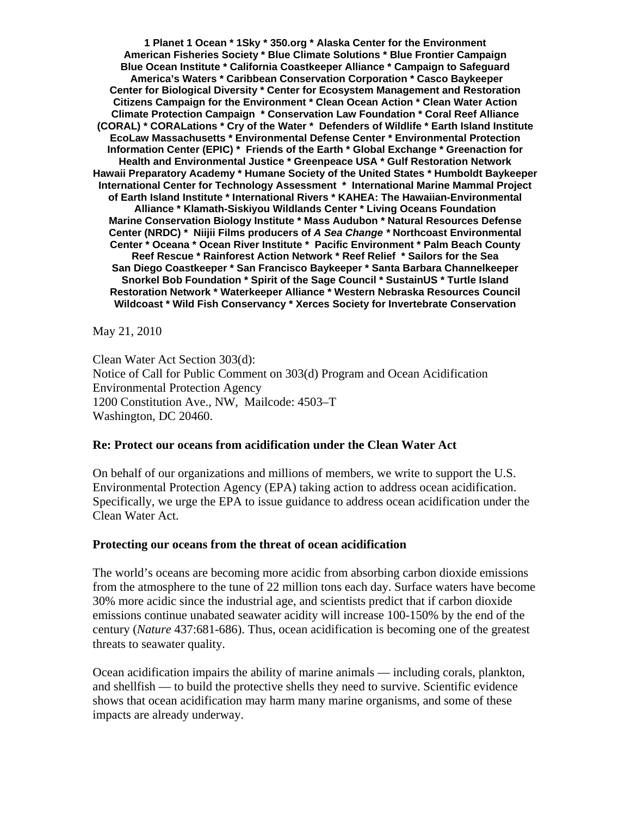**1 Planet 1 Ocean \* 1Sky \* 350.org \* Alaska Center for the Environment American Fisheries Society \* Blue Climate Solutions \* Blue Frontier Campaign Blue Ocean Institute \* California Coastkeeper Alliance \* Campaign to Safeguard America's Waters \* Caribbean Conservation Corporation \* Casco Baykeeper Center for Biological Diversity \* Center for Ecosystem Management and Restoration Citizens Campaign for the Environment \* Clean Ocean Action \* Clean Water Action Climate Protection Campaign \* Conservation Law Foundation \* Coral Reef Alliance (CORAL) \* CORALations \* Cry of the Water \* Defenders of Wildlife \* Earth Island Institute EcoLaw Massachusetts \* Environmental Defense Center \* Environmental Protection Information Center (EPIC) \* Friends of the Earth \* Global Exchange \* Greenaction for Health and Environmental Justice \* Greenpeace USA \* Gulf Restoration Network Hawaii Preparatory Academy \* Humane Society of the United States \* Humboldt Baykeeper International Center for Technology Assessment \* International Marine Mammal Project of Earth Island Institute \* International Rivers \* KAHEA: The Hawaiian-Environmental Alliance \* Klamath-Siskiyou Wildlands Center \* Living Oceans Foundation Marine Conservation Biology Institute \* Mass Audubon \* Natural Resources Defense Center (NRDC) \* Niijii Films producers of** *A Sea Change \** **Northcoast Environmental Center \* Oceana \* Ocean River Institute \* Pacific Environment \* Palm Beach County Reef Rescue \* Rainforest Action Network \* Reef Relief \* Sailors for the Sea San Diego Coastkeeper \* San Francisco Baykeeper \* Santa Barbara Channelkeeper Snorkel Bob Foundation \* Spirit of the Sage Council \* SustainUS \* Turtle Island Restoration Network \* Waterkeeper Alliance \* Western Nebraska Resources Council Wildcoast \* Wild Fish Conservancy \* Xerces Society for Invertebrate Conservation** 

May 21, 2010

Clean Water Act Section 303(d): Notice of Call for Public Comment on 303(d) Program and Ocean Acidification Environmental Protection Agency 1200 Constitution Ave., NW, Mailcode: 4503–T Washington, DC 20460.

## **Re: Protect our oceans from acidification under the Clean Water Act**

On behalf of our organizations and millions of members, we write to support the U.S. Environmental Protection Agency (EPA) taking action to address ocean acidification. Specifically, we urge the EPA to issue guidance to address ocean acidification under the Clean Water Act.

## **Protecting our oceans from the threat of ocean acidification**

The world's oceans are becoming more acidic from absorbing carbon dioxide emissions from the atmosphere to the tune of 22 million tons each day. Surface waters have become 30% more acidic since the industrial age, and scientists predict that if carbon dioxide emissions continue unabated seawater acidity will increase 100-150% by the end of the century (*Nature* 437:681-686). Thus, ocean acidification is becoming one of the greatest threats to seawater quality.

Ocean acidification impairs the ability of marine animals — including corals, plankton, and shellfish — to build the protective shells they need to survive. Scientific evidence shows that ocean acidification may harm many marine organisms, and some of these impacts are already underway.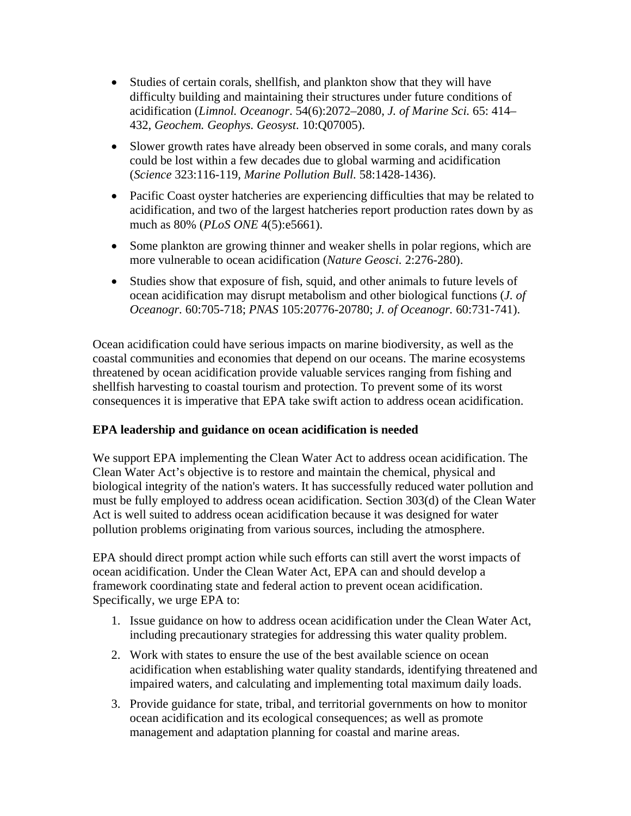- Studies of certain corals, shellfish, and plankton show that they will have difficulty building and maintaining their structures under future conditions of acidification (*Limnol. Oceanogr*. 54(6):2072–2080, *J. of Marine Sci.* 65: 414– 432, *Geochem. Geophys. Geosyst*. 10:Q07005).
- Slower growth rates have already been observed in some corals, and many corals could be lost within a few decades due to global warming and acidification (*Science* 323:116-119*, Marine Pollution Bull.* 58:1428-1436).
- Pacific Coast oyster hatcheries are experiencing difficulties that may be related to acidification, and two of the largest hatcheries report production rates down by as much as 80% (*PLoS ONE* 4(5):e5661).
- Some plankton are growing thinner and weaker shells in polar regions, which are more vulnerable to ocean acidification (*Nature Geosci.* 2:276-280).
- Studies show that exposure of fish, squid, and other animals to future levels of ocean acidification may disrupt metabolism and other biological functions (*J. of Oceanogr.* 60:705-718; *PNAS* 105:20776-20780; *J. of Oceanogr.* 60:731-741).

Ocean acidification could have serious impacts on marine biodiversity, as well as the coastal communities and economies that depend on our oceans. The marine ecosystems threatened by ocean acidification provide valuable services ranging from fishing and shellfish harvesting to coastal tourism and protection. To prevent some of its worst consequences it is imperative that EPA take swift action to address ocean acidification.

## **EPA leadership and guidance on ocean acidification is needed**

We support EPA implementing the Clean Water Act to address ocean acidification. The Clean Water Act's objective is to restore and maintain the chemical, physical and biological integrity of the nation's waters. It has successfully reduced water pollution and must be fully employed to address ocean acidification. Section 303(d) of the Clean Water Act is well suited to address ocean acidification because it was designed for water pollution problems originating from various sources, including the atmosphere.

EPA should direct prompt action while such efforts can still avert the worst impacts of ocean acidification. Under the Clean Water Act, EPA can and should develop a framework coordinating state and federal action to prevent ocean acidification. Specifically, we urge EPA to:

- 1. Issue guidance on how to address ocean acidification under the Clean Water Act, including precautionary strategies for addressing this water quality problem.
- 2. Work with states to ensure the use of the best available science on ocean acidification when establishing water quality standards, identifying threatened and impaired waters, and calculating and implementing total maximum daily loads.
- 3. Provide guidance for state, tribal, and territorial governments on how to monitor ocean acidification and its ecological consequences; as well as promote management and adaptation planning for coastal and marine areas.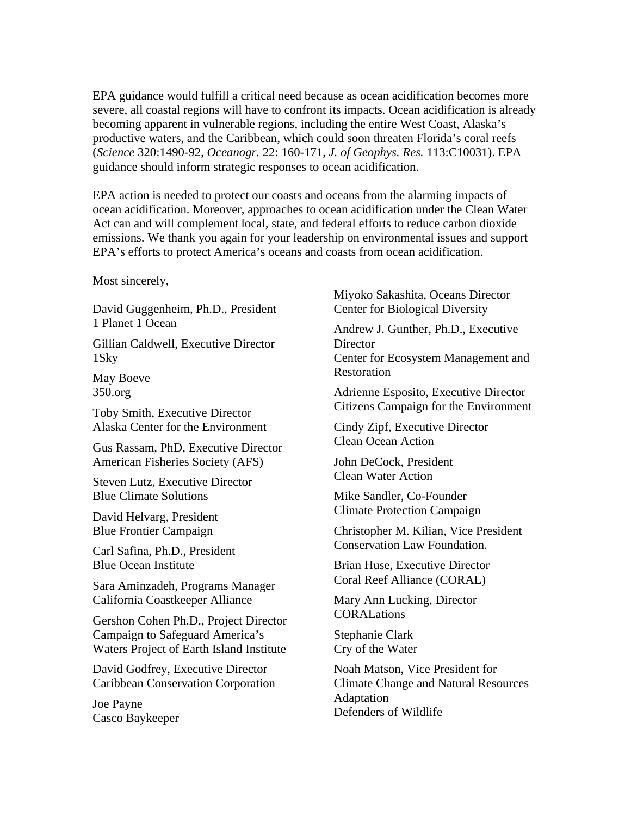EPA guidance would fulfill a critical need because as ocean acidification becomes more severe, all coastal regions will have to confront its impacts. Ocean acidification is already becoming apparent in vulnerable regions, including the entire West Coast, Alaska's productive waters, and the Caribbean, which could soon threaten Florida's coral reefs (*Science* 320:1490-92, *Oceanogr.* 22: 160-171, *J. of Geophys. Res.* 113:C10031). EPA guidance should inform strategic responses to ocean acidification.

EPA action is needed to protect our coasts and oceans from the alarming impacts of ocean acidification. Moreover, approaches to ocean acidification under the Clean Water Act can and will complement local, state, and federal efforts to reduce carbon dioxide emissions. We thank you again for your leadership on environmental issues and support EPA's efforts to protect America's oceans and coasts from ocean acidification.

Most sincerely,

David Guggenheim, Ph.D., President 1 Planet 1 Ocean

Gillian Caldwell, Executive Director 1Sky

May Boeve 350.org

Toby Smith, Executive Director Alaska Center for the Environment

Gus Rassam, PhD, Executive Director American Fisheries Society (AFS)

Steven Lutz, Executive Director Blue Climate Solutions

David Helvarg, President Blue Frontier Campaign

Carl Safina, Ph.D., President Blue Ocean Institute

Sara Aminzadeh, Programs Manager California Coastkeeper Alliance

Gershon Cohen Ph.D., Project Director Campaign to Safeguard America's Waters Project of Earth Island Institute

David Godfrey, Executive Director Caribbean Conservation Corporation

Joe Payne Casco Baykeeper Miyoko Sakashita, Oceans Director Center for Biological Diversity

Andrew J. Gunther, Ph.D., Executive **Director** Center for Ecosystem Management and

Restoration Adrienne Esposito, Executive Director

Citizens Campaign for the Environment

Cindy Zipf, Executive Director Clean Ocean Action

John DeCock, President Clean Water Action

Mike Sandler, Co-Founder Climate Protection Campaign

Christopher M. Kilian, Vice President Conservation Law Foundation.

Brian Huse, Executive Director Coral Reef Alliance (CORAL)

Mary Ann Lucking, Director **CORALations** 

Stephanie Clark Cry of the Water

Noah Matson, Vice President for Climate Change and Natural Resources Adaptation Defenders of Wildlife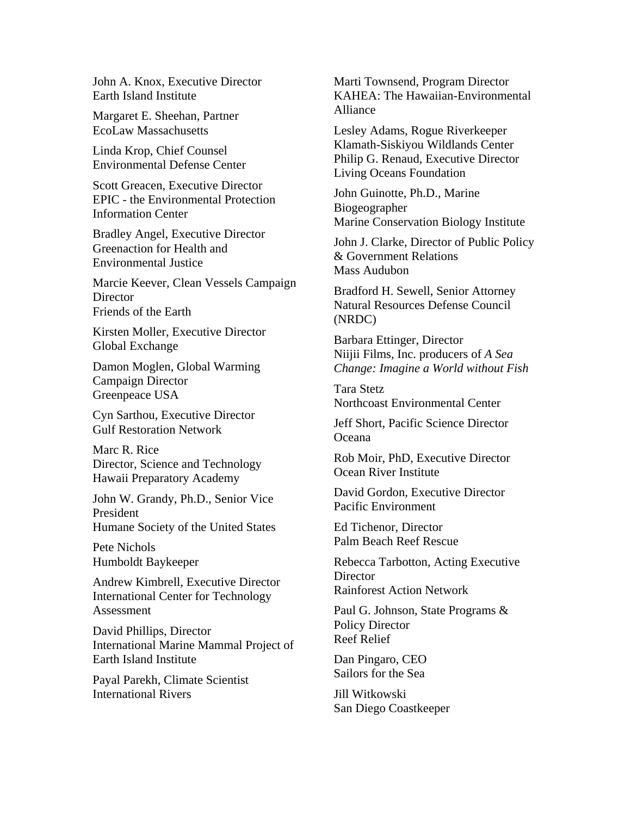John A. Knox, Executive Director Earth Island Institute

Margaret E. Sheehan, Partner EcoLaw Massachusetts

Linda Krop, Chief Counsel Environmental Defense Center

Scott Greacen, Executive Director EPIC - the Environmental Protection Information Center

Bradley Angel, Executive Director Greenaction for Health and Environmental Justice

Marcie Keever, Clean Vessels Campaign **Director** Friends of the Earth

Kirsten Moller, Executive Director Global Exchange

Damon Moglen, Global Warming Campaign Director Greenpeace USA

Cyn Sarthou, Executive Director Gulf Restoration Network

Marc R. Rice Director, Science and Technology Hawaii Preparatory Academy

John W. Grandy, Ph.D., Senior Vice President Humane Society of the United States

Pete Nichols Humboldt Baykeeper

Andrew Kimbrell, Executive Director International Center for Technology Assessment

David Phillips, Director International Marine Mammal Project of Earth Island Institute

Payal Parekh, Climate Scientist International Rivers

Marti Townsend, Program Director KAHEA: The Hawaiian-Environmental Alliance

Lesley Adams, Rogue Riverkeeper Klamath-Siskiyou Wildlands Center Philip G. Renaud, Executive Director Living Oceans Foundation

John Guinotte, Ph.D., Marine Biogeographer Marine Conservation Biology Institute

John J. Clarke, Director of Public Policy & Government Relations Mass Audubon

Bradford H. Sewell, Senior Attorney Natural Resources Defense Council (NRDC)

Barbara Ettinger, Director Niijii Films, Inc. producers of *A Sea Change: Imagine a World without Fish* 

Tara Stetz Northcoast Environmental Center

Jeff Short, Pacific Science Director Oceana

Rob Moir, PhD, Executive Director Ocean River Institute

David Gordon, Executive Director Pacific Environment

Ed Tichenor, Director Palm Beach Reef Rescue

Rebecca Tarbotton, Acting Executive **Director** 

Rainforest Action Network

Paul G. Johnson, State Programs & Policy Director Reef Relief

Dan Pingaro, CEO Sailors for the Sea

Jill Witkowski San Diego Coastkeeper